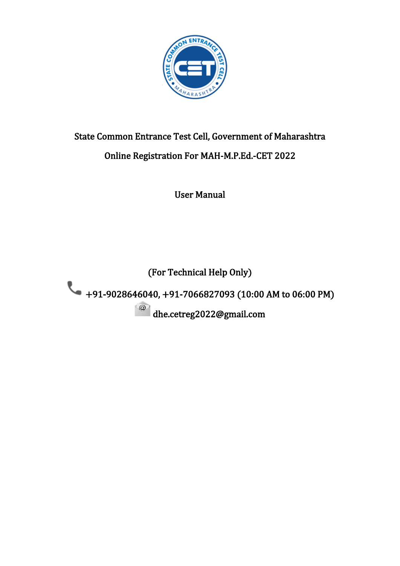

# State Common Entrance Test Cell, Government of Maharashtra Online Registration For MAH-M.P.Ed.-CET 2022

User Manual

(For Technical Help Only)

+91-9028646040, +91-7066827093 (10:00 AM to 06:00 PM)

dhe.cetreg2022@gmail.com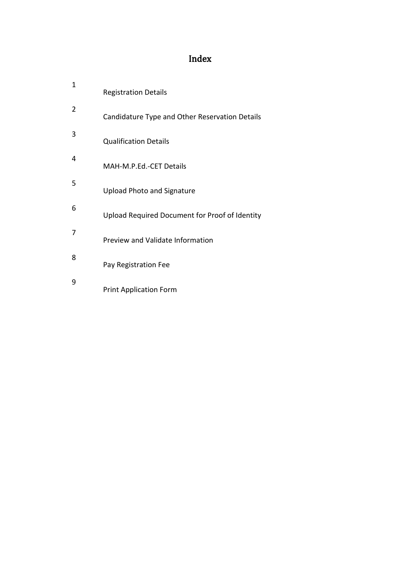# Index

| 1 | <b>Registration Details</b>                    |
|---|------------------------------------------------|
| 2 | Candidature Type and Other Reservation Details |
| 3 | <b>Qualification Details</b>                   |
| 4 | MAH-M.P.Ed.-CET Details                        |
| 5 | <b>Upload Photo and Signature</b>              |
| 6 | Upload Required Document for Proof of Identity |
| 7 | Preview and Validate Information               |
| 8 | Pay Registration Fee                           |
| 9 | <b>Print Application Form</b>                  |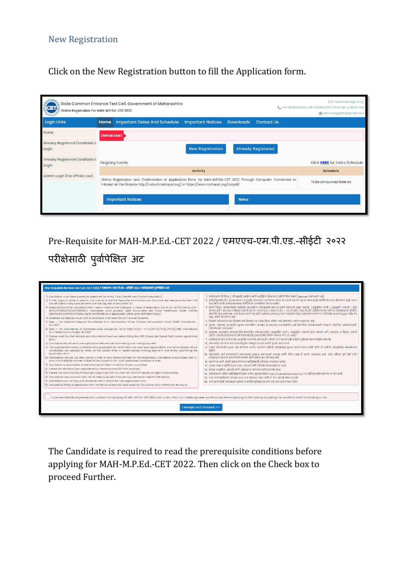#### New Registration

### Click on the New Registration button to fill the Application form.

| State Common Entrance Test Cell, Government of Maharashtra<br>\$<br>Online Registration For MAH-M.P.Ed.-CET 2022 |                  |                                                                                                                                                                                                            |                          | (For Technical Help Only)<br>L +91-9028646040, +91-7066827093 (10:00 AM to 06:00 PM)<br>dhe.cetreg2022@gmail.com |                           |                                |
|------------------------------------------------------------------------------------------------------------------|------------------|------------------------------------------------------------------------------------------------------------------------------------------------------------------------------------------------------------|--------------------------|------------------------------------------------------------------------------------------------------------------|---------------------------|--------------------------------|
| <b>Login Links</b>                                                                                               | Home             | <b>Important Dates And Schedule</b>                                                                                                                                                                        | <b>Important Notices</b> | <b>Downloads</b>                                                                                                 | <b>Contact Us</b>         |                                |
| Home                                                                                                             | <b>IMPORTANT</b> |                                                                                                                                                                                                            |                          |                                                                                                                  |                           |                                |
| Already Registered Candidate's<br>Login                                                                          |                  |                                                                                                                                                                                                            | <b>New Registration</b>  |                                                                                                                  | <b>Already Registered</b> |                                |
| Already Registered Candidate's<br>Login                                                                          |                  | <b>Ongoing Events</b>                                                                                                                                                                                      |                          |                                                                                                                  |                           | Click HERE for Entire Schedule |
|                                                                                                                  |                  |                                                                                                                                                                                                            | <b>Activity</b>          |                                                                                                                  |                           | <b>Schedule</b>                |
| Admin Login (For Official Use)                                                                                   |                  | Online Registration and Confirmation of Application Form for MAH-M.P.Ed.-CET 2022 Through Computer Connected to<br>Internet on the Website http://cetcell.mahacet.org/ or https://www.mahacet.org/cetcell/ |                          |                                                                                                                  |                           | To be announced later on       |
|                                                                                                                  |                  | <b>Important Notices</b>                                                                                                                                                                                   |                          | <b>News</b>                                                                                                      |                           |                                |

Pre-Requisite for MAH-M.P.Ed.-CET 2022 / एमएएच-एम.पी.एड.-सीईटी २०२२ परीक्षेसाठी पुर्वापीक्षेत अट



The Candidate is required to read the prerequisite conditions before applying for MAH-M.P.Ed.-CET 2022. Then click on the Check box to proceed Further.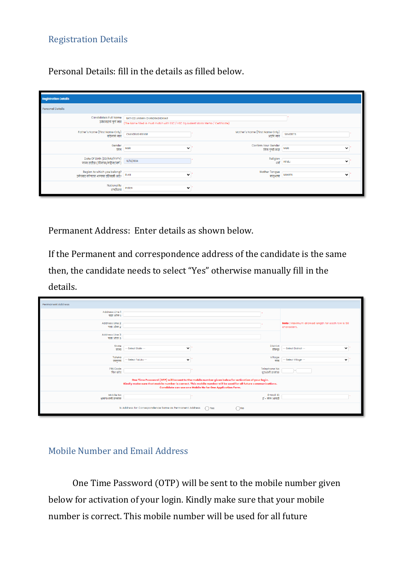#### Registration Details

Personal Details: fill in the details as filled below.

| <b>Registration Details</b>                                                           |                                                                                                                    |                                             |                         |
|---------------------------------------------------------------------------------------|--------------------------------------------------------------------------------------------------------------------|---------------------------------------------|-------------------------|
| <b>Personal Details</b>                                                               |                                                                                                                    |                                             |                         |
| Candidate's Full Name<br>उमेदवाराचे पूर्ण नाव                                         | RATHOD LAXMAN CHANDRASHEKHAR<br>(The Name filled in must match with SSC / HSC Equivalent Marks Memo / Certificate) |                                             |                         |
| Father's Name (First Name Only)<br>वडिलांचे नाव                                       | CHANDRASHEKHAR                                                                                                     | Mother's Name (First Name Only)<br>आईचे नाव | <b>SANGEETA</b>         |
| Gender<br>लिंग                                                                        | Male<br>$\checkmark$                                                                                               | Confirm Your Gender<br>लिंग पुष्टी करा      | Male<br>$\checkmark$    |
| Date Of Birth (DD/MM/YYYY)<br>जन्म तारीख ( दिनांक/महिना/वर्ष)                         | 15/10/1994                                                                                                         | Religion<br>.<br>धर्म                       | $\checkmark$<br>Hindu   |
| Region to which you belong?<br>उमेदवार कोणत्या भागाचा रहिवासी आहे?   <sup>Rural</sup> | $\checkmark$                                                                                                       | Mother Tongue<br>मातभाषा                    | Marathi<br>$\checkmark$ |
| Nationality<br>राष्ट्रीयत्व                                                           | $\checkmark$<br>Indian                                                                                             |                                             |                         |

Permanent Address: Enter details as shown below.

If the Permanent and correspondence address of the candidate is the same then, the candidate needs to select "Yes" otherwise manually fill in the details.

| <b>Permanent Address</b>                                                                                                                                                                                                                                                           |                                                         |                                        |                                                                |  |
|------------------------------------------------------------------------------------------------------------------------------------------------------------------------------------------------------------------------------------------------------------------------------------|---------------------------------------------------------|----------------------------------------|----------------------------------------------------------------|--|
| Address Line 1<br>पत्ता ओळ १                                                                                                                                                                                                                                                       |                                                         |                                        |                                                                |  |
| Address Line 2<br>पत्ता ओळ 2                                                                                                                                                                                                                                                       |                                                         |                                        | Note: Maximum allowed length for each row is 50<br>characters. |  |
| Address Line 3<br>पत्ता ओळ ३                                                                                                                                                                                                                                                       |                                                         |                                        |                                                                |  |
| State<br>राज्य                                                                                                                                                                                                                                                                     | $\check{ }$<br>-- Select State --                       | District<br>जिल्हा                     | $\checkmark$<br>-- Select District --                          |  |
| Taluka<br>तालक                                                                                                                                                                                                                                                                     | -- Select Taluka --<br>$\check{ }$                      | Village<br>जाव                         | -- Select Village --<br>$\checkmark$                           |  |
| <b>PIN Code</b><br>पिन कोड                                                                                                                                                                                                                                                         |                                                         | <b>Telephone No</b><br>दरध्वनी क्रमांक |                                                                |  |
| One Time Password (OTP) will be sent to the mobile number given below for activation of your login.<br>Kindly make sure that mobile number is correct. This mobile number will be used for all future communications.<br>Candidate can use one Mobile No for One Application Form. |                                                         |                                        |                                                                |  |
| Mobile No<br>भ्रमणध्वनी क्रमांक                                                                                                                                                                                                                                                    |                                                         | E-Mail ID<br>ई - मेल आयडी              |                                                                |  |
|                                                                                                                                                                                                                                                                                    | Is Address for Correspondence Same as Permanent Address | $\bigcap$ Yes<br>$\bigcap$ No          |                                                                |  |

#### Mobile Number and Email Address

One Time Password (OTP) will be sent to the mobile number given below for activation of your login. Kindly make sure that your mobile number is correct. This mobile number will be used for all future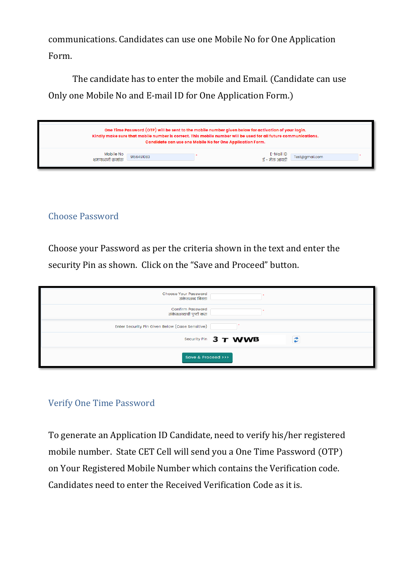communications. Candidates can use one Mobile No for One Application Form.

The candidate has to enter the mobile and Email. (Candidate can use Only one Mobile No and E-mail ID for One Application Form.)

| One Time Password (OTP) will be sent to the mobile number given below for activation of your login.<br>Kindly make sure that mobile number is correct. This mobile number will be used for all future communications.<br>Candidate can use one Mobile No for One Application Form. |            |  |                                          |  |  |
|------------------------------------------------------------------------------------------------------------------------------------------------------------------------------------------------------------------------------------------------------------------------------------|------------|--|------------------------------------------|--|--|
| Mobile No<br>भ्रमणध्वनी कमांक                                                                                                                                                                                                                                                      | 9156491083 |  | E-Mail ID<br>ई - मेल आयडी Test@gmail.com |  |  |

### Choose Password

Choose your Password as per the criteria shown in the text and enter the security Pin as shown. Click on the "Save and Proceed" button.

| <b>Choose Your Password</b><br>संकेतशब्द निवडा     |                      |
|----------------------------------------------------|----------------------|
| <b>Confirm Password</b><br>संकेतशब्दाची पुष्टी करा |                      |
| Enter Security Pin Given Below (Case Sensitive)    |                      |
|                                                    | Security Pin 3 T WWB |
| Save & Proceed >>>                                 |                      |

### Verify One Time Password

To generate an Application ID Candidate, need to verify his/her registered mobile number. State CET Cell will send you a One Time Password (OTP) on Your Registered Mobile Number which contains the Verification code. Candidates need to enter the Received Verification Code as it is.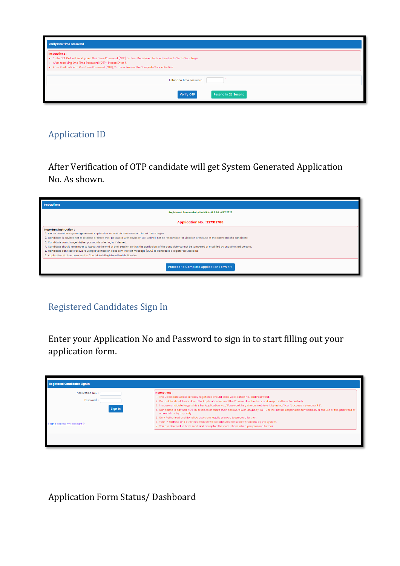| <b>Verify One Time Password</b>                                                                                                                                                                                                                                                                 |
|-------------------------------------------------------------------------------------------------------------------------------------------------------------------------------------------------------------------------------------------------------------------------------------------------|
| Instructions:<br>. State CET Cell will send you a One Time Password (OTP) on Your Registered Mobile Number to Verify Your Login<br>. After receiving One Time Password (OTP), Please Enter it.<br>. After Verification of One Time Password (OTP), You can Proceed to Complete Your Activities. |
| <b>Enter One Time Password</b>                                                                                                                                                                                                                                                                  |
| Resend in 26 Second<br>Verify OTP                                                                                                                                                                                                                                                               |

### Application ID

After Verification of OTP candidate will get System Generated Application No. As shown.

| <b>Instructions</b>                                                                                                                                                                                                                                                                                                                                                                                                                                                                                                                                                                                                                                                                                                                                                 |
|---------------------------------------------------------------------------------------------------------------------------------------------------------------------------------------------------------------------------------------------------------------------------------------------------------------------------------------------------------------------------------------------------------------------------------------------------------------------------------------------------------------------------------------------------------------------------------------------------------------------------------------------------------------------------------------------------------------------------------------------------------------------|
| Registered Successfully for MAH-M.P.Ed.-CET 2022                                                                                                                                                                                                                                                                                                                                                                                                                                                                                                                                                                                                                                                                                                                    |
| <b>Application No.: 227312786</b>                                                                                                                                                                                                                                                                                                                                                                                                                                                                                                                                                                                                                                                                                                                                   |
| <b>Important Instruction:</b><br>1. Please note down system generated Application No. and chosen Password for all future logins.<br>2. Candidate is advised not to disclose or share their password with anybody. CET Cell will not be responsible for violation or misuse of the password of a candidate.<br>3. Candidate can change his/her passwords after login, if desired.<br>4. Candidate should remember to log out at the end of their session so that the particulars of the candidate cannot be tampered or modified by unauthorized persons.<br>5. Candidate can reset Password using a verification code sent via text message (SMS) to Candidate's Registered Mobile No.<br>6. Application No. has been sent to Candidate's Registered Mobile Number. |
| <b>Proceed to Complete Application Form &gt;&gt;&gt;</b>                                                                                                                                                                                                                                                                                                                                                                                                                                                                                                                                                                                                                                                                                                            |

### Registered Candidates Sign In

Enter your Application No and Password to sign in to start filling out your application form.

| <b>Registered Candidates Sign In</b>                                          |                                                                                                                                                                                                                                                                                                                                                                                                                                                                                                                                                                                                                                                                                                                                                                                                                                       |  |  |  |
|-------------------------------------------------------------------------------|---------------------------------------------------------------------------------------------------------------------------------------------------------------------------------------------------------------------------------------------------------------------------------------------------------------------------------------------------------------------------------------------------------------------------------------------------------------------------------------------------------------------------------------------------------------------------------------------------------------------------------------------------------------------------------------------------------------------------------------------------------------------------------------------------------------------------------------|--|--|--|
| Application No. :<br>Password:<br>Sign In<br><b>Lean't access my account?</b> | Instructions:<br>1. The Candidate who is already registered should enter Application No. and Password.<br>2. Candidate should note down the Application No. and the Password in the diary and keep it in the safe custody.<br>3. In case candidate forgets his / her Application No. / Password, he / she can retrieve it by using 'I can't access my account ?'.<br>4. Candidate is advised NOT TO disclose or share their password with anybody. CET Cell will not be responsible for violation or misuse of the password of<br>a candidate by anybody.<br>5. Only Authorised and Bonafide users are legally allowed to proceed further.<br>6. Your IP Address and other information will be captured for security reasons by the system.<br>7. You are deemed to have read and accepted the instructions when you proceed further. |  |  |  |
|                                                                               |                                                                                                                                                                                                                                                                                                                                                                                                                                                                                                                                                                                                                                                                                                                                                                                                                                       |  |  |  |

Application Form Status/ Dashboard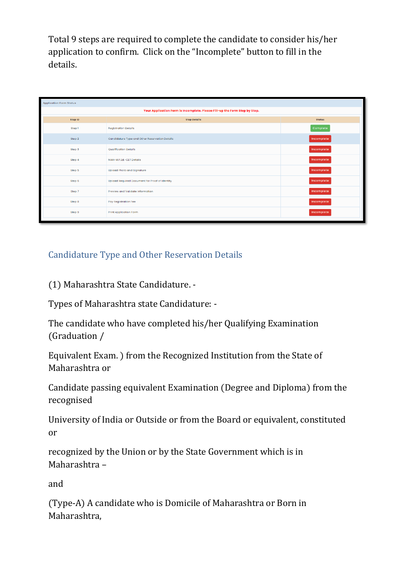Total 9 steps are required to complete the candidate to consider his/her application to confirm. Click on the "Incomplete" button to fill in the details.

| <b>Application Form Status</b> |                                                                            |               |  |  |  |
|--------------------------------|----------------------------------------------------------------------------|---------------|--|--|--|
|                                | Your Application Form is Incomplete. Please Fill-up the Form Step by Step. |               |  |  |  |
| Step ID                        | <b>Step Details</b>                                                        | <b>Status</b> |  |  |  |
| Step 1                         | <b>Registration Details</b>                                                | Complete      |  |  |  |
| Step 2                         | Candidature Type and Other Reservation Details                             | Incomplete    |  |  |  |
| Step 3                         | <b>Qualification Details</b>                                               | Incomplete    |  |  |  |
| Step 4                         | MAH-M.P.Ed.-CET Details                                                    | Incomplete    |  |  |  |
| Step 5                         | <b>Upload Photo and Signature</b>                                          | Incomplete    |  |  |  |
| Step 6                         | Upload Required Document for Proof of Identity                             | Incomplete    |  |  |  |
| Step 7                         | Preview and Validate Information                                           | Incomplete    |  |  |  |
| Step 8                         | Pay Registration Fee                                                       | Incomplete    |  |  |  |
| Step 9                         | <b>Print Application Form</b>                                              | Incomplete    |  |  |  |
|                                |                                                                            |               |  |  |  |

### Candidature Type and Other Reservation Details

(1) Maharashtra State Candidature. -

Types of Maharashtra state Candidature: -

The candidate who have completed his/her Qualifying Examination (Graduation /

Equivalent Exam. ) from the Recognized Institution from the State of Maharashtra or

Candidate passing equivalent Examination (Degree and Diploma) from the recognised

University of India or Outside or from the Board or equivalent, constituted or

recognized by the Union or by the State Government which is in Maharashtra –

and

(Type-A) A candidate who is Domicile of Maharashtra or Born in Maharashtra,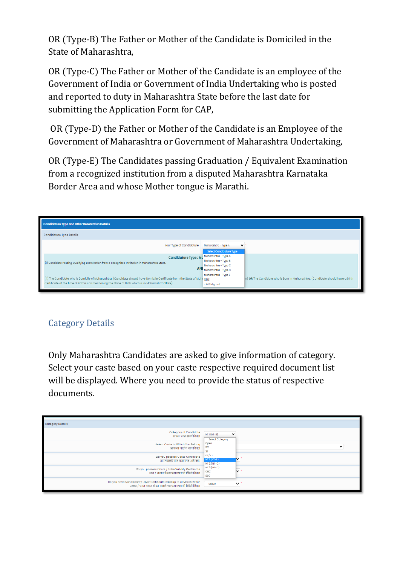OR (Type-B) The Father or Mother of the Candidate is Domiciled in the State of Maharashtra,

OR (Type-C) The Father or Mother of the Candidate is an employee of the Government of India or Government of India Undertaking who is posted and reported to duty in Maharashtra State before the last date for submitting the Application Form for CAP,

OR (Type-D) the Father or Mother of the Candidate is an Employee of the Government of Maharashtra or Government of Maharashtra Undertaking,

OR (Type-E) The Candidates passing Graduation / Equivalent Examination from a recognized institution from a disputed Maharashtra Karnataka Border Area and whose Mother tongue is Marathi.

| Candidature Type and Other Reservation Details |                                                                                                                                                                                                                                                             |  |  |
|------------------------------------------------|-------------------------------------------------------------------------------------------------------------------------------------------------------------------------------------------------------------------------------------------------------------|--|--|
|                                                |                                                                                                                                                                                                                                                             |  |  |
| Maharashtra - Type A<br>$\checkmark$           |                                                                                                                                                                                                                                                             |  |  |
|                                                |                                                                                                                                                                                                                                                             |  |  |
|                                                |                                                                                                                                                                                                                                                             |  |  |
|                                                |                                                                                                                                                                                                                                                             |  |  |
| Maharashtra - Type C                           |                                                                                                                                                                                                                                                             |  |  |
|                                                |                                                                                                                                                                                                                                                             |  |  |
| Maharashtra - Type E                           |                                                                                                                                                                                                                                                             |  |  |
|                                                | in) OR The Candidate who is Born in Maharashtra. (Candidate should have a Birth                                                                                                                                                                             |  |  |
| J & K Migrant                                  |                                                                                                                                                                                                                                                             |  |  |
|                                                | -- Select Candidature Type --<br>Candidature Type: Ma Maharashtra - Type A<br>Maharashtra - Type B<br>ANI Maharashtra - Type D<br>(ii) The Candidate who is Domicile of Maharashtra. (Candidate should have Domicile Certificate from the State of Mahi OMS |  |  |

### Category Details

Only Maharashtra Candidates are asked to give information of category. Select your caste based on your caste respective required document list will be displayed. Where you need to provide the status of respective documents.

| <b>Category Details</b>                                                                                                            |                                                       |
|------------------------------------------------------------------------------------------------------------------------------------|-------------------------------------------------------|
| <b>Category of Candidate</b><br>आपला जात संवर्ग निवडा                                                                              | $NT1(NT-B)$<br>$\checkmark$<br>-- Select Category --  |
| Select Caste to Which You Belong<br>आपल्या जातीचे नाव निवडा                                                                        | Open<br>$\checkmark$<br><b>SC</b><br><b>ST</b>        |
| Do you possess Caste Certificate<br>आपल्याकडे जात प्रमाणपत्र आहे का?                                                               | DT/VJ<br>$NT1(NT-B)$<br>$\checkmark$<br>$NT 2 (NT-C)$ |
| Do you possess Caste / Tribe Validity Certificate<br>जात / जमात वेधता प्रमाणपत्राची स्थिती निवडा                                   | $NT 3 (NT-D)$<br>v<br>OBC<br><b>SBC</b>               |
| Do you have Non Creamy Layer Certificate valid up to 31 March 2023?<br>उन्नत / प्रगत गटात मोडत असलेल्या प्रमाणपत्राची स्थिती निवडा | $\checkmark$<br>$-$ Select $-$                        |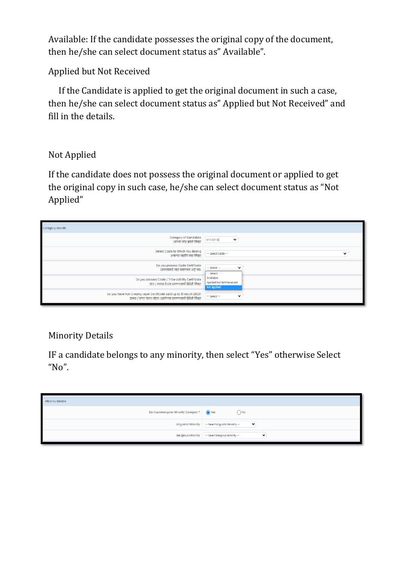Available: If the candidate possesses the original copy of the document, then he/she can select document status as" Available".

Applied but Not Received

 If the Candidate is applied to get the original document in such a case, then he/she can select document status as" Applied but Not Received" and fill in the details.

### Not Applied

If the candidate does not possess the original document or applied to get the original copy in such case, he/she can select document status as "Not Applied"

| <b>Category Details</b>                                                                          |                                                      |
|--------------------------------------------------------------------------------------------------|------------------------------------------------------|
| <b>Category of Candidate</b>                                                                     | $NT1(NT-B)$                                          |
| आपला जात संवर्ग निवडा                                                                            | $\checkmark$                                         |
| Select Caste to Which You Belong                                                                 | -- Select Caste --                                   |
| आपल्या जातीचे नाव निवडा                                                                          | $\check{ }$                                          |
| Do you possess Caste Certificate<br>आपल्याकडे जात प्रमाणपत्र आहे का?                             | $-$ Select $-$<br>$\check{ }$<br>$--$ Select $--$    |
| Do you possess Caste / Tribe Validity Certificate<br>जात / जमात वेधता प्रमाणपत्राची स्थिती निवडा | Available<br>Applied but Not Received<br>Not Applied |
| Do you have Non Creamy Layer Certificate valid up to 31 March 2023?                              | $\checkmark$                                         |
| उन्नत / प्रगत गटात मोडत असलेल्या प्रमाणपत्राची स्थिती निवडा                                      | $-$ Select $-$                                       |

### Minority Details

IF a candidate belongs to any minority, then select "Yes" otherwise Select "No".

| <b>Minority Details</b>               | --                                              |
|---------------------------------------|-------------------------------------------------|
|                                       |                                                 |
| Do You belongs to Minority Category ? | ● Yes<br>$\bigcap$ No                           |
| Linguistic Minority                   | -- Select Linguistic Minority --<br>$\check{ }$ |
| Religious Minority                    | - Select Religious Minority --<br>$\checkmark$  |
|                                       |                                                 |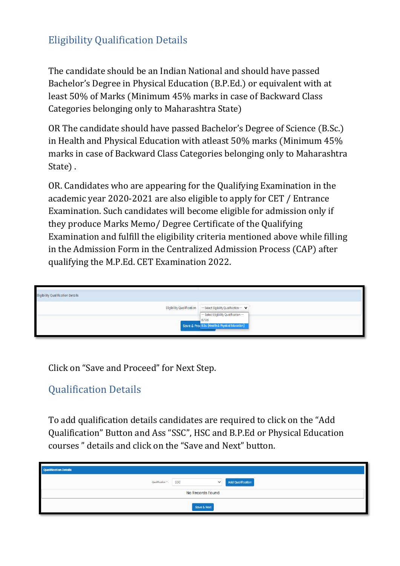# Eligibility Qualification Details

The candidate should be an Indian National and should have passed Bachelor's Degree in Physical Education (B.P.Ed.) or equivalent with at least 50% of Marks (Minimum 45% marks in case of Backward Class Categories belonging only to Maharashtra State)

OR The candidate should have passed Bachelor's Degree of Science (B.Sc.) in Health and Physical Education with atleast 50% marks (Minimum 45% marks in case of Backward Class Categories belonging only to Maharashtra State) .

OR. Candidates who are appearing for the Qualifying Examination in the academic year 2020-2021 are also eligible to apply for CET / Entrance Examination. Such candidates will become eligible for admission only if they produce Marks Memo/ Degree Certificate of the Qualifying Examination and fulfill the eligibility criteria mentioned above while filling in the Admission Form in the Centralized Admission Process (CAP) after qualifying the M.P.Ed. CET Examination 2022.

| <b>Eligibility Qualification Details</b> |                                                                                    |
|------------------------------------------|------------------------------------------------------------------------------------|
| <b>Eligibility Qualification</b>         | -- Select Eligibility Qualification -- V<br>-- Select Eligibility Qualification -- |
|                                          | B.P.Ed.<br>Save & Pro(B.Sc. (Health & Physical Education)                          |

Click on "Save and Proceed" for Next Step.

# Qualification Details

To add qualification details candidates are required to click on the "Add Qualification" Button and Ass "SSC", HSC and B.P.Ed or Physical Education courses " details and click on the "Save and Next" button.

| <b>Qualification Details</b>         |                          |  |  |
|--------------------------------------|--------------------------|--|--|
| Qualification *: SSC<br>$\checkmark$ | <b>Add Qualification</b> |  |  |
| No Records Found                     |                          |  |  |
| Save & Next                          |                          |  |  |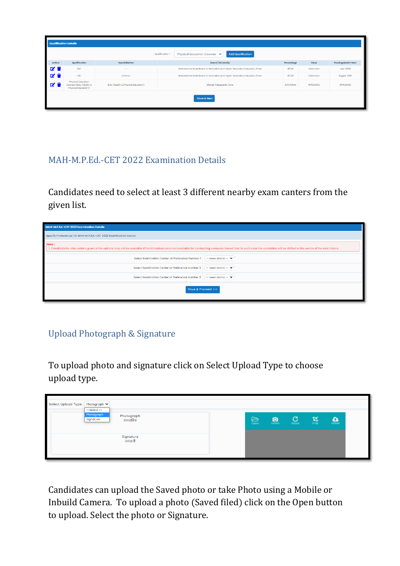|                | <b>Qualification Details</b>                                                                                                                                                                   |                |                                                                           |            |             |                           |  |  |
|----------------|------------------------------------------------------------------------------------------------------------------------------------------------------------------------------------------------|----------------|---------------------------------------------------------------------------|------------|-------------|---------------------------|--|--|
|                | <b>Add Qualification</b><br>Physical Education Courses V<br>Qualification *:                                                                                                                   |                |                                                                           |            |             |                           |  |  |
| Action         | Qualification                                                                                                                                                                                  | Specialization | <b>Board / University</b>                                                 | Percentage | Class       | <b>Passing Month-Year</b> |  |  |
| Ø1             | <b>SSC</b>                                                                                                                                                                                     | $\sim$         | Maharashtra State Board of Secondary and Higher Secondary Education, Pune | 80.00      | Distinction | <b>July-2009</b>          |  |  |
| ØŤ             | <b>HSC</b><br>Science<br>Maharashtra State Board of Secondary and Higher Secondary Education, Pune<br>80.00<br>Distinction                                                                     |                |                                                                           |            |             | August-2015               |  |  |
| $\blacksquare$ | Physical Education<br>Courses (B.Sc. (Health &<br>B.Sc. (Health & Physical Education)<br><b>APPEARING</b><br><b>APPEARING</b><br>Bharati Vidyapeeth, Pune<br>APPEARING<br>Physical Education)) |                |                                                                           |            |             |                           |  |  |
| Save & Next    |                                                                                                                                                                                                |                |                                                                           |            |             |                           |  |  |

### MAH-M.P.Ed.-CET 2022 Examination Details

Candidates need to select at least 3 different nearby exam canters from the given list.

| MAH-M.P.Ed.-CET 2022 Examination Details                                                                                                                                                                                                |                         |  |  |  |
|-----------------------------------------------------------------------------------------------------------------------------------------------------------------------------------------------------------------------------------------|-------------------------|--|--|--|
| Specify Preferences for MAH-M.P.Ed.-CET 2022 Examination Center                                                                                                                                                                         |                         |  |  |  |
| Note:<br>1. Candidate to note centers given in the options may not be available if the Infrastructure is not available for conducting computer based Test. In such case the candidate will be shifted to the centre of the next choice. |                         |  |  |  |
| Select Examination Center at Preference Number 1<br>-- Select District -- V                                                                                                                                                             |                         |  |  |  |
| Select Examination Center at Preference Number 2                                                                                                                                                                                        | -- Select District -- V |  |  |  |
| Select Examination Center at Preference Number 3                                                                                                                                                                                        | -- Select District -- V |  |  |  |
| Save & Proceed >>>                                                                                                                                                                                                                      |                         |  |  |  |

# Upload Photograph & Signature

To upload photo and signature click on Select Upload Type to choose upload type.

| Select Upload Type : Photograph ♥<br>$--Select--$  |                          |                         |                     |   |                        |  |
|----------------------------------------------------|--------------------------|-------------------------|---------------------|---|------------------------|--|
| Photograph<br>Photograph<br>Signature<br>छायाचित्र | $\triangleright$<br>Open | $\overline{\mathbf{a}}$ | $\sum_{\text{Red}}$ | 푡 | $\sum_{\text{Upload}}$ |  |
| Signature<br>स्वाक्षरी                             |                          |                         |                     |   |                        |  |

Candidates can upload the Saved photo or take Photo using a Mobile or Inbuild Camera. To upload a photo (Saved filed) click on the Open button to upload. Select the photo or Signature.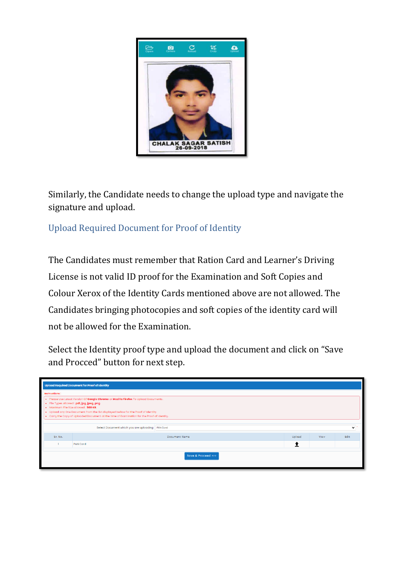

Similarly, the Candidate needs to change the upload type and navigate the signature and upload.

Upload Required Document for Proof of Identity

The Candidates must remember that Ration Card and Learner's Driving License is not valid ID proof for the Examination and Soft Copies and Colour Xerox of the Identity Cards mentioned above are not allowed. The Candidates bringing photocopies and soft copies of the identity card will not be allowed for the Examination.

Select the Identity proof type and upload the document and click on "Save and Procced" button for next step.

|                                                                                                                                                                                                                                                                                                                                                                                   | <b>Upload Required Document for Proof of Identity</b>            |        |      |      |  |  |  |  |
|-----------------------------------------------------------------------------------------------------------------------------------------------------------------------------------------------------------------------------------------------------------------------------------------------------------------------------------------------------------------------------------|------------------------------------------------------------------|--------|------|------|--|--|--|--|
| Instructions:<br>. Please Use Latest Version Of Google Chrome or Mozilla Firefox To Upload Documents.<br>· File Types Allowed: pdf, jpg, jpeg, png.<br>• Maximum File Size Allowed: 500 KB.<br>. Upload any One Document from the list displayed bellow for the Proof of Identity.<br>- Carry the Copy of Uploaded Document at the time of Examination for the Proof of Identity. |                                                                  |        |      |      |  |  |  |  |
|                                                                                                                                                                                                                                                                                                                                                                                   | Select Document which you are uploading PAN Card<br>$\checkmark$ |        |      |      |  |  |  |  |
| Sr. No.                                                                                                                                                                                                                                                                                                                                                                           | Document Name                                                    | Upload | View | Edit |  |  |  |  |
|                                                                                                                                                                                                                                                                                                                                                                                   | PAN Card<br>T                                                    |        |      |      |  |  |  |  |
|                                                                                                                                                                                                                                                                                                                                                                                   | Save & Proceed >>>                                               |        |      |      |  |  |  |  |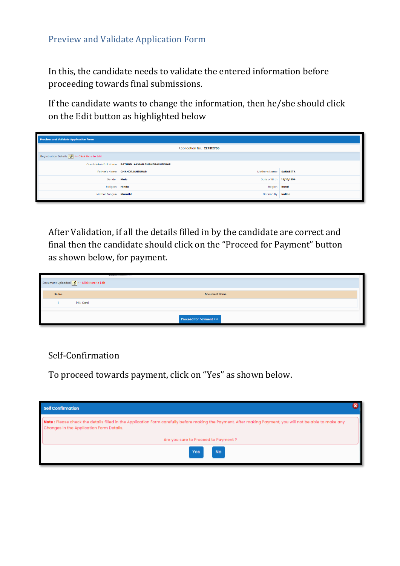#### Preview and Validate Application Form

In this, the candidate needs to validate the entered information before proceeding towards final submissions.

If the candidate wants to change the information, then he/she should click on the Edit button as highlighted below

| <b>Preview and Validate Application Form</b>        |                                                    |                        |  |  |  |
|-----------------------------------------------------|----------------------------------------------------|------------------------|--|--|--|
| Application No.: 227312786                          |                                                    |                        |  |  |  |
| Registration Details <b>A</b> <- Click Here to Edit |                                                    |                        |  |  |  |
|                                                     | Candidate's Full Name RATHOD LAXMAN CHANDRASHEKHAR |                        |  |  |  |
|                                                     | Father's Name CHANDRASHEKHAR                       | Mother's Name SANGEETA |  |  |  |
|                                                     | Date of Birth 15/10/1994<br>Gender Male            |                        |  |  |  |
|                                                     | Religion Hindu<br><b>Region Rural</b>              |                        |  |  |  |
| Nationality Indian<br>Mother Tonque   Marathi       |                                                    |                        |  |  |  |

After Validation, if all the details filled in by the candidate are correct and final then the candidate should click on the "Proceed for Payment" button as shown below, for payment.

| Document Uploaded <b>W</b> <- Click Here to Edit |          |                      |  |  |
|--------------------------------------------------|----------|----------------------|--|--|
| Sr. No.                                          |          | <b>Document Name</b> |  |  |
|                                                  | PAN Card |                      |  |  |
| Proceed for Payment >>>                          |          |                      |  |  |

#### Self-Confirmation

To proceed towards payment, click on "Yes" as shown below.

| Self Confirmation                                                                                                                                                                                      |  |
|--------------------------------------------------------------------------------------------------------------------------------------------------------------------------------------------------------|--|
| Note : Please check the details filled in the Application Form carefully before making the Payment. After making Payment, you will not be able to make any<br>Changes in the Application Form Details. |  |
| Are you sure to Proceed to Payment ?                                                                                                                                                                   |  |
| <b>No</b><br>Yes                                                                                                                                                                                       |  |